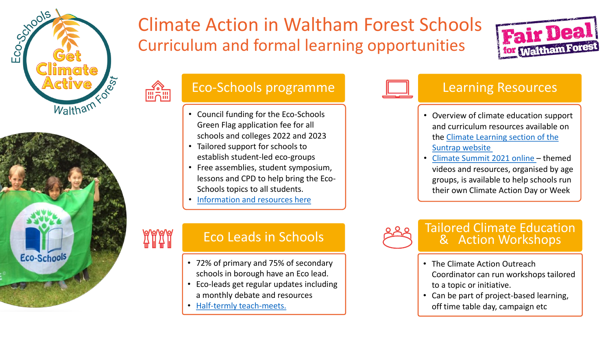

**■道** 

**AAAA** 



# Climate Action in Waltham Forest Schools Curriculum and formal learning opportunities



## Eco-Schools programme

- Council funding for the Eco-Schools Green Flag application fee for all schools and colleges 2022 and 2023
- Tailored support for schools to establish student-led eco-groups
- Free assemblies, student symposium, [lessons and CPD to help bring the Eco-](https://suntrapcentre.co.uk/ecoeschoolsgreenflag)Schools topics to all students.
- [Information and resources here](https://suntrapcentre.co.uk/ecoeschoolsgreenflag)

- 72% of primary and 75% of secondary schools in borough have an Eco lead.
- Eco-leads get regular updates including a monthly debate and resources
- [Half-termly teach-meets.](https://suntrapcentre.co.uk/climate-learning/climateteachmeets)



## Learning Resources

- Overview of climate education support and curriculum resources available on [the Climate Learning section of the](https://suntrapcentre.co.uk/climate-learning) Suntrap website
- [Climate Summit 2021 online](https://suntrapcentre.co.uk/climatesummit/programme)  themed videos and resources, organised by age groups, is available to help schools run their own Climate Action Day or Week



# Eco Leads in Schools and the Sea of Tailored Climate Education

- The Climate Action Outreach Coordinator can run workshops tailored to a topic or initiative.
- Can be part of project-based learning, off time table day, campaign etc